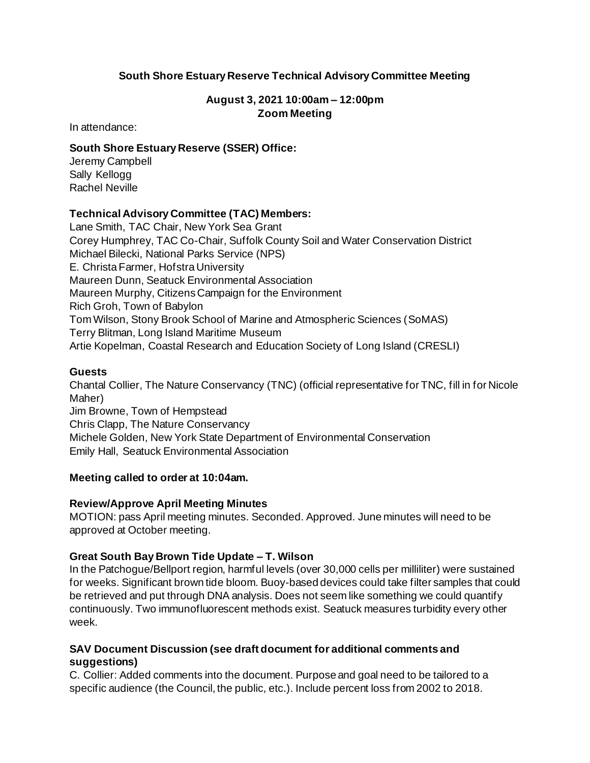# **South Shore Estuary Reserve Technical Advisory Committee Meeting**

### **August 3, 2021 10:00am – 12:00pm Zoom Meeting**

In attendance:

#### **South Shore Estuary Reserve (SSER) Office:**

Jeremy Campbell Sally Kellogg Rachel Neville

### **Technical Advisory Committee (TAC) Members:**

Lane Smith, TAC Chair, New York Sea Grant Corey Humphrey, TAC Co-Chair, Suffolk County Soil and Water Conservation District Michael Bilecki, National Parks Service (NPS) E. Christa Farmer, Hofstra University Maureen Dunn, Seatuck Environmental Association Maureen Murphy, Citizens Campaign for the Environment Rich Groh, Town of Babylon Tom Wilson, Stony Brook School of Marine and Atmospheric Sciences (SoMAS) Terry Blitman, Long Island Maritime Museum Artie Kopelman, Coastal Research and Education Society of Long Island (CRESLI)

### **Guests**

Chantal Collier, The Nature Conservancy (TNC) (official representative for TNC, fill in for Nicole Maher) Jim Browne, Town of Hempstead Chris Clapp, The Nature Conservancy Michele Golden, New York State Department of Environmental Conservation Emily Hall, Seatuck Environmental Association

# **Meeting called to order at 10:04am.**

#### **Review/Approve April Meeting Minutes**

MOTION: pass April meeting minutes. Seconded. Approved. June minutes will need to be approved at October meeting.

#### **Great South Bay Brown Tide Update – T. Wilson**

In the Patchogue/Bellport region, harmful levels (over 30,000 cells per milliliter) were sustained for weeks. Significant brown tide bloom. Buoy-based devices could take filter samples that could be retrieved and put through DNA analysis. Does not seem like something we could quantify continuously. Two immunofluorescent methods exist. Seatuck measures turbidity every other week.

### **SAV Document Discussion (see draft document for additional comments and suggestions)**

C. Collier: Added comments into the document. Purpose and goal need to be tailored to a specific audience (the Council, the public, etc.). Include percent loss from 2002 to 2018.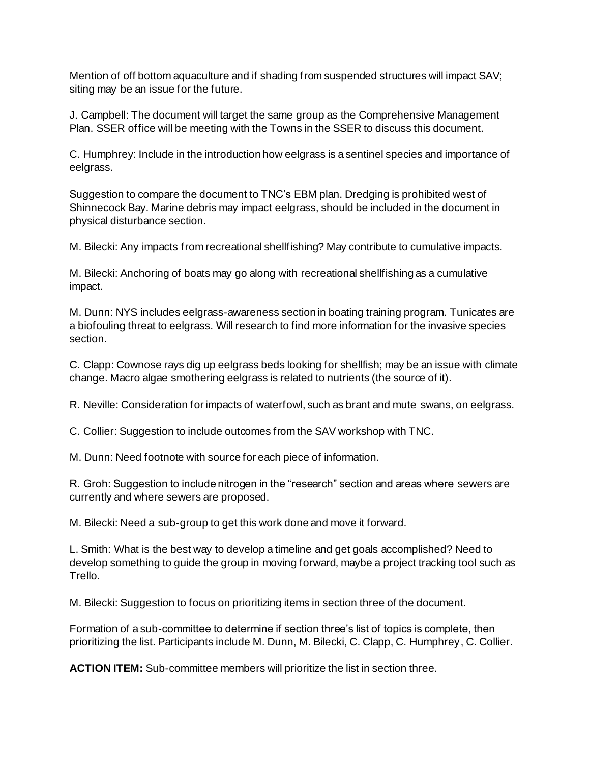Mention of off bottom aquaculture and if shading from suspended structures will impact SAV; siting may be an issue for the future.

J. Campbell: The document will target the same group as the Comprehensive Management Plan. SSER office will be meeting with the Towns in the SSER to discuss this document.

C. Humphrey: Include in the introduction how eelgrass is a sentinel species and importance of eelgrass.

Suggestion to compare the document to TNC's EBM plan. Dredging is prohibited west of Shinnecock Bay. Marine debris may impact eelgrass, should be included in the document in physical disturbance section.

M. Bilecki: Any impacts from recreational shellfishing? May contribute to cumulative impacts.

M. Bilecki: Anchoring of boats may go along with recreational shellfishing as a cumulative impact.

M. Dunn: NYS includes eelgrass-awareness section in boating training program. Tunicates are a biofouling threat to eelgrass. Will research to find more information for the invasive species section.

C. Clapp: Cownose rays dig up eelgrass beds looking for shellfish; may be an issue with climate change. Macro algae smothering eelgrass is related to nutrients (the source of it).

R. Neville: Consideration for impacts of waterfowl, such as brant and mute swans, on eelgrass.

C. Collier: Suggestion to include outcomes from the SAV workshop with TNC.

M. Dunn: Need footnote with source for each piece of information.

R. Groh: Suggestion to include nitrogen in the "research" section and areas where sewers are currently and where sewers are proposed.

M. Bilecki: Need a sub-group to get this work done and move it forward.

L. Smith: What is the best way to develop a timeline and get goals accomplished? Need to develop something to guide the group in moving forward, maybe a project tracking tool such as Trello.

M. Bilecki: Suggestion to focus on prioritizing items in section three of the document.

Formation of a sub-committee to determine if section three's list of topics is complete, then prioritizing the list. Participants include M. Dunn, M. Bilecki, C. Clapp, C. Humphrey, C. Collier.

**ACTION ITEM:** Sub-committee members will prioritize the list in section three.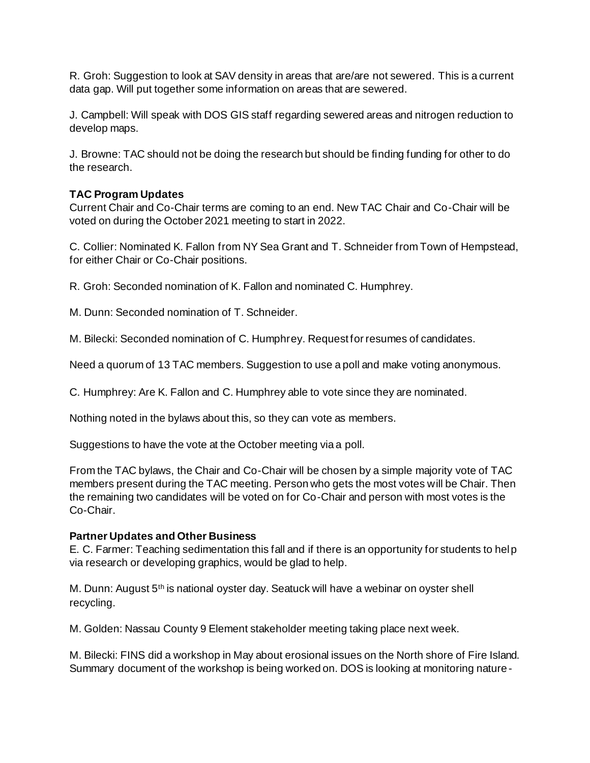R. Groh: Suggestion to look at SAV density in areas that are/are not sewered. This is a current data gap. Will put together some information on areas that are sewered.

J. Campbell: Will speak with DOS GIS staff regarding sewered areas and nitrogen reduction to develop maps.

J. Browne: TAC should not be doing the research but should be finding funding for other to do the research.

# **TAC Program Updates**

Current Chair and Co-Chair terms are coming to an end. New TAC Chair and Co-Chair will be voted on during the October 2021 meeting to start in 2022.

C. Collier: Nominated K. Fallon from NY Sea Grant and T. Schneider from Town of Hempstead, for either Chair or Co-Chair positions.

R. Groh: Seconded nomination of K. Fallon and nominated C. Humphrey.

M. Dunn: Seconded nomination of T. Schneider.

M. Bilecki: Seconded nomination of C. Humphrey. Request for resumes of candidates.

Need a quorum of 13 TAC members. Suggestion to use a poll and make voting anonymous.

C. Humphrey: Are K. Fallon and C. Humphrey able to vote since they are nominated.

Nothing noted in the bylaws about this, so they can vote as members.

Suggestions to have the vote at the October meeting via a poll.

From the TAC bylaws, the Chair and Co-Chair will be chosen by a simple majority vote of TAC members present during the TAC meeting. Person who gets the most votes will be Chair. Then the remaining two candidates will be voted on for Co-Chair and person with most votes is the Co-Chair.

# **Partner Updates and Other Business**

E. C. Farmer: Teaching sedimentation this fall and if there is an opportunity for students to help via research or developing graphics, would be glad to help.

M. Dunn: August 5th is national oyster day. Seatuck will have a webinar on oyster shell recycling.

M. Golden: Nassau County 9 Element stakeholder meeting taking place next week.

M. Bilecki: FINS did a workshop in May about erosional issues on the North shore of Fire Island. Summary document of the workshop is being worked on. DOS is looking at monitoring nature